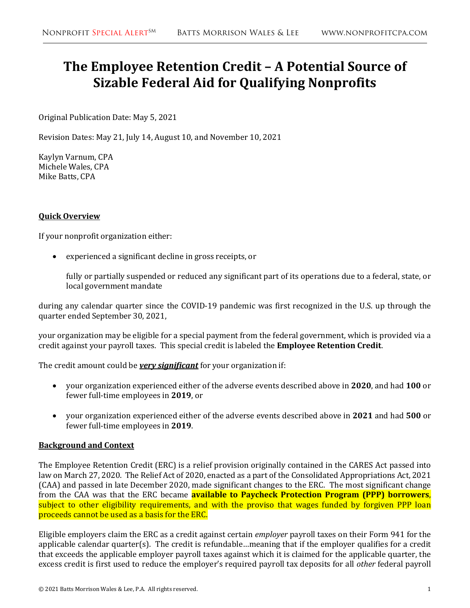# **The Employee Retention Credit – A Potential Source of Sizable Federal Aid for Qualifying Nonprofits**

Original Publication Date: May 5, 2021

Revision Dates: May 21, July 14, August 10, and November 10, 2021

Kaylyn Varnum, CPA Michele Wales, CPA Mike Batts, CPA

#### **Quick Overview**

If your nonprofit organization either:

• experienced a significant decline in gross receipts, or

fully or partially suspended or reduced any significant part of its operations due to a federal, state, or local government mandate

during any calendar quarter since the COVID-19 pandemic was first recognized in the U.S. up through the quarter ended September 30, 2021,

your organization may be eligible for a special payment from the federal government, which is provided via a credit against your payroll taxes. This special credit is labeled the **Employee Retention Credit**.

The credit amount could be *very significant* for your organization if:

- your organization experienced either of the adverse events described above in **2020**, and had **100** or fewer full-time employees in **2019**, or
- your organization experienced either of the adverse events described above in **2021** and had **500** or fewer full-time employees in **2019**.

#### **Background and Context**

The Employee Retention Credit (ERC) is a relief provision originally contained in the CARES Act passed into law on March 27, 2020. The Relief Act of 2020, enacted as a part of the Consolidated Appropriations Act, 2021 (CAA) and passed in late December 2020, made significant changes to the ERC. The most significant change from the CAA was that the ERC became **available to Paycheck Protection Program (PPP) borrowers**, subject to other eligibility requirements, and with the proviso that wages funded by forgiven PPP loan proceeds cannot be used as a basis for the ERC.

Eligible employers claim the ERC as a credit against certain *employer* payroll taxes on their Form 941 for the applicable calendar quarter(s). The credit is refundable…meaning that if the employer qualifies for a credit that exceeds the applicable employer payroll taxes against which it is claimed for the applicable quarter, the excess credit is first used to reduce the employer's required payroll tax deposits for all *other* federal payroll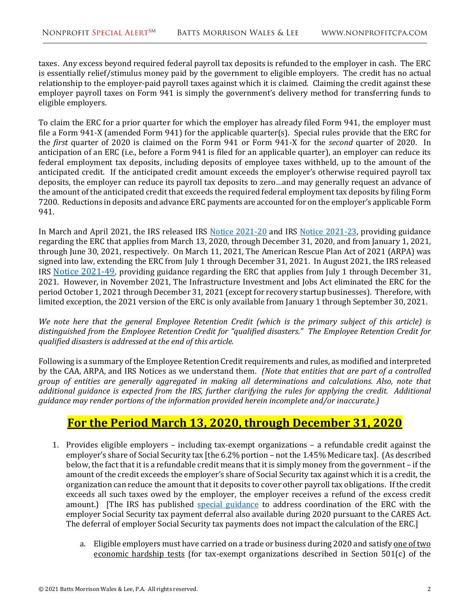taxes. Any excess beyond required federal payroll tax deposits is refunded to the employer in cash. The ERC is essentially relief/stimulus money paid by the government to eligible employers. The credit has no actual relationship to the employer-paid payroll taxes against which it is claimed. Claiming the credit against these employer payroll taxes on Form 941 is simply the government's delivery method for transferring funds to eligible employers.

To claim the ERC for a prior quarter for which the employer has already filed Form 941, the employer must file a Form 941-X (amended Form 941) for the applicable quarter(s). Special rules provide that the ERC for the *first* quarter of 2020 is claimed on the Form 941 or Form 941-X for the *second* quarter of 2020. In anticipation of an ERC (i.e., before a Form 941 is filed for an applicable quarter), an employer can reduce its federal employment tax deposits, including deposits of employee taxes withheld, up to the amount of the anticipated credit. If the anticipated credit amount exceeds the employer's otherwise required payroll tax deposits, the employer can reduce its payroll tax deposits to zero…and may generally request an advance of the amount of the anticipated credit that exceeds the required federal employment tax deposits by filing Form 7200. Reductions in deposits and advance ERC payments are accounted for on the employer's applicable Form 941.

In March and April 2021, the IRS released IRS [Notice 2021-20](https://www.irs.gov/pub/irs-drop/n-21-20.pdf) and IRS [Notice 2021-23,](https://www.irs.gov/pub/irs-drop/n-21-23.pdf) providing guidance regarding the ERC that applies from March 13, 2020, through December 31, 2020, and from January 1, 2021, through June 30, 2021, respectively. On March 11, 2021, The American Rescue Plan Act of 2021 (ARPA) was signed into law, extending the ERC from July 1 through December 31, 2021. In August 2021, the IRS released IRS [Notice 2021-49, p](https://www.irs.gov/pub/irs-drop/n-21-49.pdf)roviding guidance regarding the ERC that applies from July 1 through December 31, 2021. However, in November 2021, The Infrastructure Investment and Jobs Act eliminated the ERC for the period October 1, 2021 through December 31, 2021 (except for recovery startup businesses). Therefore, with limited exception, the 2021 version of the ERC is only available from January 1 through September 30, 2021.

*We note here that the general Employee Retention Credit (which is the primary subject of this article) is distinguished from the Employee Retention Credit for "qualified disasters." The Employee Retention Credit for qualified disasters is addressed at the end of this article.* 

Following is a summary of the Employee Retention Credit requirements and rules, as modified and interpreted by the CAA, ARPA, and IRS Notices as we understand them. *(Note that entities that are part of a controlled group of entities are generally aggregated in making all determinations and calculations. Also, note that additional guidance is expected from the IRS, further clarifying the rules for applying the credit. Additional guidance may render portions of the information provided herein incomplete and/or inaccurate.)*

### **For the Period March 13, 2020, through December 31, 2020**

- 1. Provides eligible employers including tax-exempt organizations a refundable credit against the employer's share of Social Security tax [the 6.2% portion – not the 1.45% Medicare tax]. (As described below, the fact that it is a refundable credit means that it is simply money from the government – if the amount of the credit exceeds the employer's share of Social Security tax against which it is a credit, the organization can reduce the amount that it deposits to cover other payroll tax obligations. If the credit exceeds all such taxes owed by the employer, the employer receives a refund of the excess credit amount.) [The IRS has published [special guidance](https://www.irs.gov/newsroom/deferral-of-employment-tax-deposits-and-payments-through-december-31-2020#12) to address coordination of the ERC with the employer Social Security tax payment deferral also available during 2020 pursuant to the CARES Act. The deferral of employer Social Security tax payments does not impact the calculation of the ERC.]
	- a. Eligible employers must have carried on a trade or business during 2020 and satisfy one of two economic hardship tests (for tax-exempt organizations described in Section 501(c) of the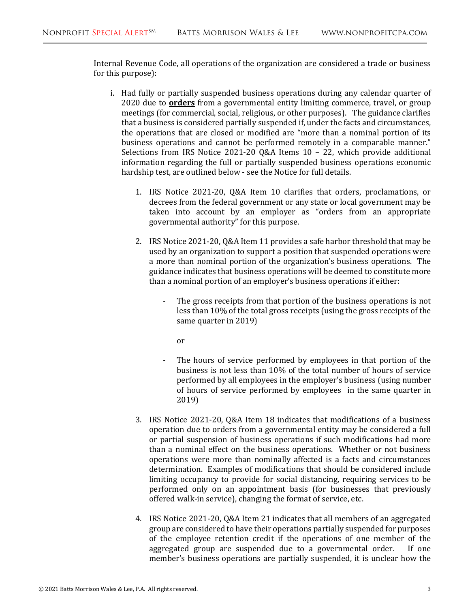Internal Revenue Code, all operations of the organization are considered a trade or business for this purpose):

- i. Had fully or partially suspended business operations during any calendar quarter of 2020 due to **orders** from a governmental entity limiting commerce, travel, or group meetings (for commercial, social, religious, or other purposes). The guidance clarifies that a business is considered partially suspended if, under the facts and circumstances, the operations that are closed or modified are "more than a nominal portion of its business operations and cannot be performed remotely in a comparable manner." Selections from IRS Notice 2021-20 Q&A Items 10 – 22, which provide additional information regarding the full or partially suspended business operations economic hardship test, are outlined below - see the Notice for full details.
	- 1. IRS Notice 2021-20, Q&A Item 10 clarifies that orders, proclamations, or decrees from the federal government or any state or local government may be taken into account by an employer as "orders from an appropriate governmental authority" for this purpose.
	- 2. IRS Notice 2021-20, Q&A Item 11 provides a safe harbor threshold that may be used by an organization to support a position that suspended operations were a more than nominal portion of the organization's business operations. The guidance indicates that business operations will be deemed to constitute more than a nominal portion of an employer's business operations if either:
		- The gross receipts from that portion of the business operations is not less than 10% of the total gross receipts (using the gross receipts of the same quarter in 2019)
			- or
		- The hours of service performed by employees in that portion of the business is not less than 10% of the total number of hours of service performed by all employees in the employer's business (using number of hours of service performed by employees in the same quarter in 2019)
	- 3. IRS Notice 2021-20, Q&A Item 18 indicates that modifications of a business operation due to orders from a governmental entity may be considered a full or partial suspension of business operations if such modifications had more than a nominal effect on the business operations. Whether or not business operations were more than nominally affected is a facts and circumstances determination. Examples of modifications that should be considered include limiting occupancy to provide for social distancing, requiring services to be performed only on an appointment basis (for businesses that previously offered walk-in service), changing the format of service, etc.
	- 4. IRS Notice 2021-20, Q&A Item 21 indicates that all members of an aggregated group are considered to have their operations partially suspended for purposes of the employee retention credit if the operations of one member of the aggregated group are suspended due to a governmental order. If one aggregated group are suspended due to a governmental order. member's business operations are partially suspended, it is unclear how the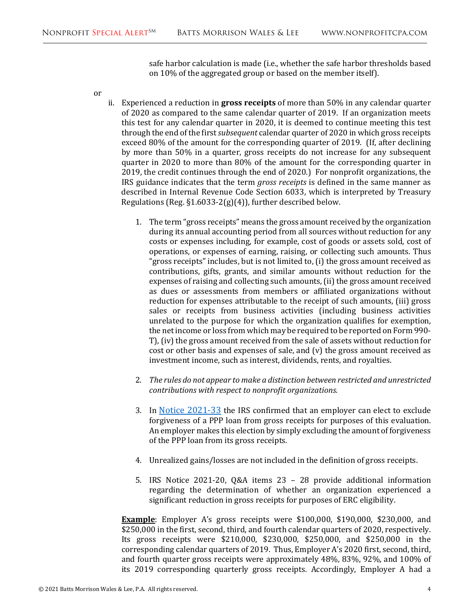safe harbor calculation is made (i.e., whether the safe harbor thresholds based on 10% of the aggregated group or based on the member itself).

or

- ii. Experienced a reduction in **gross receipts** of more than 50% in any calendar quarter of 2020 as compared to the same calendar quarter of 2019. If an organization meets this test for any calendar quarter in 2020, it is deemed to continue meeting this test through the end of the first *subsequent* calendar quarter of 2020 in which gross receipts exceed 80% of the amount for the corresponding quarter of 2019. (If, after declining by more than 50% in a quarter, gross receipts do not increase for any subsequent quarter in 2020 to more than 80% of the amount for the corresponding quarter in 2019, the credit continues through the end of 2020.) For nonprofit organizations, the IRS guidance indicates that the term *gross receipts* is defined in the same manner as described in Internal Revenue Code Section 6033, which is interpreted by Treasury Regulations (Reg. §1.6033-2(g)(4)), further described below.
	- 1. The term "gross receipts" means the gross amount received by the organization during its annual accounting period from all sources without reduction for any costs or expenses including, for example, cost of goods or assets sold, cost of operations, or expenses of earning, raising, or collecting such amounts. Thus "gross receipts" includes, but is not limited to, (i) the gross amount received as contributions, gifts, grants, and similar amounts without reduction for the expenses of raising and collecting such amounts, (ii) the gross amount received as dues or assessments from members or affiliated organizations without reduction for expenses attributable to the receipt of such amounts, (iii) gross sales or receipts from business activities (including business activities unrelated to the purpose for which the organization qualifies for exemption, the net income or loss from which may be required to be reported on Form 990- T), (iv) the gross amount received from the sale of assets without reduction for cost or other basis and expenses of sale, and (v) the gross amount received as investment income, such as interest, dividends, rents, and royalties.
	- 2. *The rules do not appear to make a distinction between restricted and unrestricted contributions with respect to nonprofit organizations.*
	- 3. In [Notice 2021-33](https://www.irs.gov/pub/irs-drop/rp-21-33.pdf) the IRS confirmed that an employer can elect to exclude forgiveness of a PPP loan from gross receipts for purposes of this evaluation. An employer makes this election by simply excluding the amount of forgiveness of the PPP loan from its gross receipts.
	- 4. Unrealized gains/losses are not included in the definition of gross receipts.
	- 5. IRS Notice 2021-20, Q&A items 23 28 provide additional information regarding the determination of whether an organization experienced a significant reduction in gross receipts for purposes of ERC eligibility.

**Example**: Employer A's gross receipts were \$100,000, \$190,000, \$230,000, and \$250,000 in the first, second, third, and fourth calendar quarters of 2020, respectively. Its gross receipts were \$210,000, \$230,000, \$250,000, and \$250,000 in the corresponding calendar quarters of 2019. Thus, Employer A's 2020 first, second, third, and fourth quarter gross receipts were approximately 48%, 83%, 92%, and 100% of its 2019 corresponding quarterly gross receipts. Accordingly, Employer A had a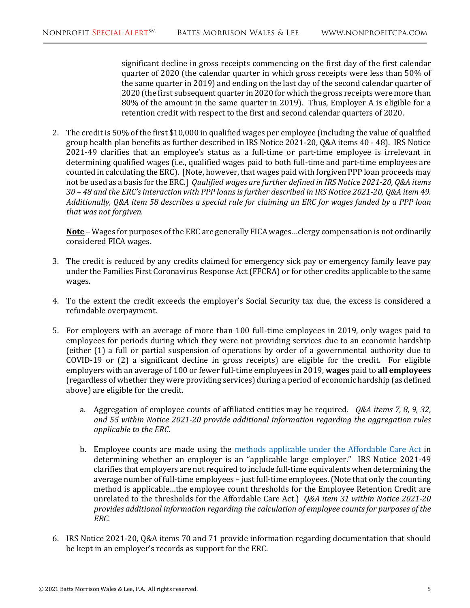significant decline in gross receipts commencing on the first day of the first calendar quarter of 2020 (the calendar quarter in which gross receipts were less than 50% of the same quarter in 2019) and ending on the last day of the second calendar quarter of 2020 (the first subsequent quarter in 2020 for which the gross receipts were more than 80% of the amount in the same quarter in 2019). Thus, Employer A is eligible for a retention credit with respect to the first and second calendar quarters of 2020.

2. The credit is 50% of the first \$10,000 in qualified wages per employee (including the value of qualified group health plan benefits as further described in IRS Notice 2021-20, Q&A items 40 - 48). IRS Notice 2021-49 clarifies that an employee's status as a full-time or part-time employee is irrelevant in determining qualified wages (i.e., qualified wages paid to both full-time and part-time employees are counted in calculating the ERC). [Note, however, that wages paid with forgiven PPP loan proceeds may not be used as a basis for the ERC.] *Qualified wages are further defined in IRS Notice 2021-20, Q&A items 30 – 48 and the ERC's interaction with PPP loans is further described in IRS Notice 2021-20, Q&A item 49. Additionally, Q&A item 58 describes a special rule for claiming an ERC for wages funded by a PPP loan that was not forgiven.* 

**Note** – Wages for purposes of the ERC are generally FICA wages…clergy compensation is not ordinarily considered FICA wages.

- 3. The credit is reduced by any credits claimed for emergency sick pay or emergency family leave pay under the Families First Coronavirus Response Act (FFCRA) or for other credits applicable to the same wages.
- 4. To the extent the credit exceeds the employer's Social Security tax due, the excess is considered a refundable overpayment.
- 5. For employers with an average of more than 100 full-time employees in 2019, only wages paid to employees for periods during which they were not providing services due to an economic hardship (either (1) a full or partial suspension of operations by order of a governmental authority due to COVID-19 or (2) a significant decline in gross receipts) are eligible for the credit. For eligible employers with an average of 100 or fewer full-time employees in 2019, **wages** paid to **all employees** (regardless of whether they were providing services) during a period of economic hardship (as defined above) are eligible for the credit.
	- a. Aggregation of employee counts of affiliated entities may be required. *Q&A items 7, 8, 9, 32, and 55 within Notice 2021-20 provide additional information regarding the aggregation rules applicable to the ERC.*
	- b. Employee counts are made using the [methods applicable under the Affordable Care Act](https://www.irs.gov/affordable-care-act/employers/identifying-full-time-employees) in determining whether an employer is an "applicable large employer." IRS Notice 2021-49 clarifies that employers are not required to include full-time equivalents when determining the average number of full-time employees – just full-time employees. (Note that only the counting method is applicable…the employee count thresholds for the Employee Retention Credit are unrelated to the thresholds for the Affordable Care Act.) *Q&A item 31 within Notice 2021-20 provides additional information regarding the calculation of employee counts for purposes of the ERC.*
- 6. IRS Notice 2021-20, Q&A items 70 and 71 provide information regarding documentation that should be kept in an employer's records as support for the ERC.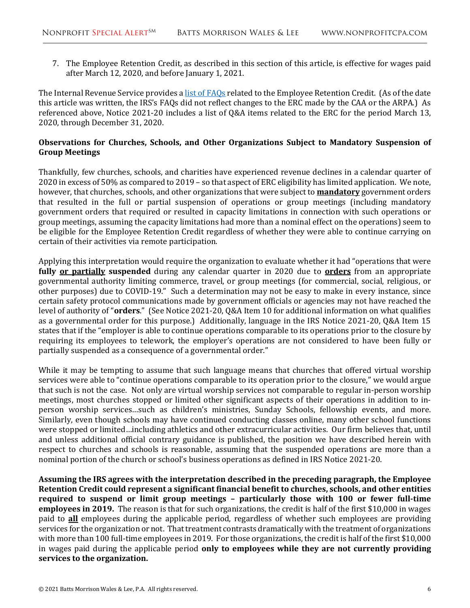7. The Employee Retention Credit, as described in this section of this article, is effective for wages paid after March 12, 2020, and before January 1, 2021.

The Internal Revenue Service provides [a list of](https://www.irs.gov/newsroom/faqs-employee-retention-credit-under-the-cares-act) FAQs related to the Employee Retention Credit. (As of the date this article was written, the IRS's FAQs did not reflect changes to the ERC made by the CAA or the ARPA.) As referenced above, Notice 2021-20 includes a list of Q&A items related to the ERC for the period March 13, 2020, through December 31, 2020.

#### **Observations for Churches, Schools, and Other Organizations Subject to Mandatory Suspension of Group Meetings**

Thankfully, few churches, schools, and charities have experienced revenue declines in a calendar quarter of 2020 in excess of 50% as compared to 2019 – so that aspect of ERC eligibility has limited application. We note, however, that churches, schools, and other organizations that were subject to **mandatory** government orders that resulted in the full or partial suspension of operations or group meetings (including mandatory government orders that required or resulted in capacity limitations in connection with such operations or group meetings, assuming the capacity limitations had more than a nominal effect on the operations) seem to be eligible for the Employee Retention Credit regardless of whether they were able to continue carrying on certain of their activities via remote participation.

Applying this interpretation would require the organization to evaluate whether it had "operations that were **fully or partially suspended** during any calendar quarter in 2020 due to **orders** from an appropriate governmental authority limiting commerce, travel, or group meetings (for commercial, social, religious, or other purposes) due to COVID-19." Such a determination may not be easy to make in every instance, since certain safety protocol communications made by government officials or agencies may not have reached the level of authority of "**orders**." (See Notice 2021-20, Q&A Item 10 for additional information on what qualifies as a governmental order for this purpose.) Additionally, language in the IRS Notice 2021-20, Q&A Item 15 states that if the "employer is able to continue operations comparable to its operations prior to the closure by requiring its employees to telework, the employer's operations are not considered to have been fully or partially suspended as a consequence of a governmental order."

While it may be tempting to assume that such language means that churches that offered virtual worship services were able to "continue operations comparable to its operation prior to the closure," we would argue that such is not the case. Not only are virtual worship services not comparable to regular in-person worship meetings, most churches stopped or limited other significant aspects of their operations in addition to inperson worship services…such as children's ministries, Sunday Schools, fellowship events, and more. Similarly, even though schools may have continued conducting classes online, many other school functions were stopped or limited…including athletics and other extracurricular activities. Our firm believes that, until and unless additional official contrary guidance is published, the position we have described herein with respect to churches and schools is reasonable, assuming that the suspended operations are more than a nominal portion of the church or school's business operations as defined in IRS Notice 2021-20.

**Assuming the IRS agrees with the interpretation described in the preceding paragraph, the Employee Retention Credit could represent a significant financial benefit to churches, schools, and other entities required to suspend or limit group meetings – particularly those with 100 or fewer full-time employees in 2019.** The reason is that for such organizations, the credit is half of the first \$10,000 in wages paid to **all** employees during the applicable period, regardless of whether such employees are providing services for the organization or not. That treatment contrasts dramatically with the treatment of organizations with more than 100 full-time employees in 2019. For those organizations, the credit is half of the first \$10,000 in wages paid during the applicable period **only to employees while they are not currently providing services to the organization.**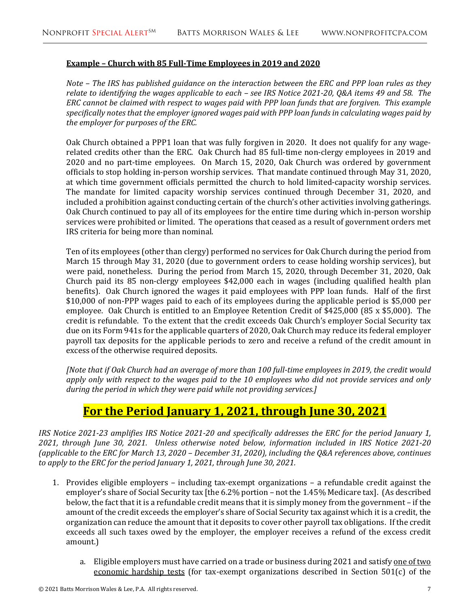#### **Example – Church with 85 Full-Time Employees in 2019 and 2020**

*Note – The IRS has published guidance on the interaction between the ERC and PPP loan rules as they relate to identifying the wages applicable to each – see IRS Notice 2021-20, Q&A items 49 and 58. The ERC cannot be claimed with respect to wages paid with PPP loan funds that are forgiven. This example specifically notes that the employer ignored wages paid with PPP loan funds in calculating wages paid by the employer for purposes of the ERC.* 

Oak Church obtained a PPP1 loan that was fully forgiven in 2020. It does not qualify for any wagerelated credits other than the ERC. Oak Church had 85 full-time non-clergy employees in 2019 and 2020 and no part-time employees. On March 15, 2020, Oak Church was ordered by government officials to stop holding in-person worship services. That mandate continued through May 31, 2020, at which time government officials permitted the church to hold limited-capacity worship services. The mandate for limited capacity worship services continued through December 31, 2020, and included a prohibition against conducting certain of the church's other activities involving gatherings. Oak Church continued to pay all of its employees for the entire time during which in-person worship services were prohibited or limited. The operations that ceased as a result of government orders met IRS criteria for being more than nominal.

Ten of its employees (other than clergy) performed no services for Oak Church during the period from March 15 through May 31, 2020 (due to government orders to cease holding worship services), but were paid, nonetheless. During the period from March 15, 2020, through December 31, 2020, Oak Church paid its 85 non-clergy employees \$42,000 each in wages (including qualified health plan benefits). Oak Church ignored the wages it paid employees with PPP loan funds. Half of the first \$10,000 of non-PPP wages paid to each of its employees during the applicable period is \$5,000 per employee. Oak Church is entitled to an Employee Retention Credit of \$425,000 (85 x \$5,000). The credit is refundable. To the extent that the credit exceeds Oak Church's employer Social Security tax due on its Form 941s for the applicable quarters of 2020, Oak Church may reduce its federal employer payroll tax deposits for the applicable periods to zero and receive a refund of the credit amount in excess of the otherwise required deposits.

*[Note that if Oak Church had an average of more than 100 full-time employees in 2019, the credit would apply only with respect to the wages paid to the 10 employees who did not provide services and only during the period in which they were paid while not providing services.]*

### **For the Period January 1, 2021, through June 30, 2021**

*IRS Notice 2021-23 amplifies IRS Notice 2021-20 and specifically addresses the ERC for the period January 1, 2021, through June 30, 2021. Unless otherwise noted below, information included in IRS Notice 2021-20 (applicable to the ERC for March 13, 2020 – December 31, 2020), including the Q&A references above, continues to apply to the ERC for the period January 1, 2021, through June 30, 2021.*

- 1. Provides eligible employers including tax-exempt organizations a refundable credit against the employer's share of Social Security tax [the 6.2% portion – not the 1.45% Medicare tax]. (As described below, the fact that it is a refundable credit means that it is simply money from the government – if the amount of the credit exceeds the employer's share of Social Security tax against which it is a credit, the organization can reduce the amount that it deposits to cover other payroll tax obligations. If the credit exceeds all such taxes owed by the employer, the employer receives a refund of the excess credit amount.)
	- a. Eligible employers must have carried on a trade or business during 2021 and satisfy one of two economic hardship tests (for tax-exempt organizations described in Section 501(c) of the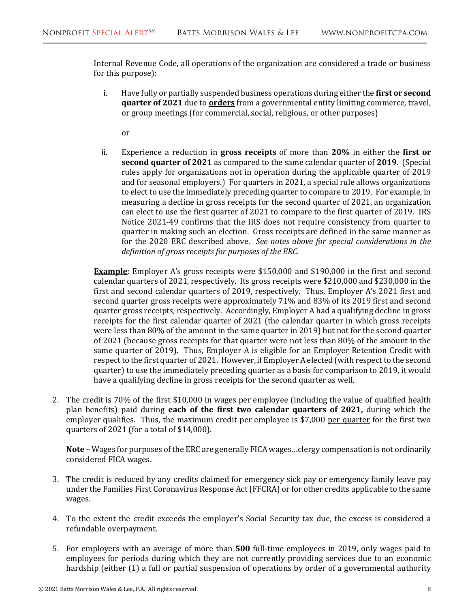Internal Revenue Code, all operations of the organization are considered a trade or business for this purpose):

i. Have fully or partially suspended business operations during either the **first or second quarter of 2021** due to **orders** from a governmental entity limiting commerce, travel, or group meetings (for commercial, social, religious, or other purposes)

or

ii. Experience a reduction in **gross receipts** of more than **20%** in either the **first or second quarter of 2021** as compared to the same calendar quarter of **2019**. (Special rules apply for organizations not in operation during the applicable quarter of 2019 and for seasonal employers.) For quarters in 2021, a special rule allows organizations to elect to use the immediately preceding quarter to compare to 2019. For example, in measuring a decline in gross receipts for the second quarter of 2021, an organization can elect to use the first quarter of 2021 to compare to the first quarter of 2019. IRS Notice 2021-49 confirms that the IRS does not require consistency from quarter to quarter in making such an election. Gross receipts are defined in the same manner as for the 2020 ERC described above. *See notes above for special considerations in the definition of gross receipts for purposes of the ERC.* 

**Example**: Employer A's gross receipts were \$150,000 and \$190,000 in the first and second calendar quarters of 2021, respectively. Its gross receipts were \$210,000 and \$230,000 in the first and second calendar quarters of 2019, respectively. Thus, Employer A's 2021 first and second quarter gross receipts were approximately 71% and 83% of its 2019 first and second quarter gross receipts, respectively. Accordingly, Employer A had a qualifying decline in gross receipts for the first calendar quarter of 2021 (the calendar quarter in which gross receipts were less than 80% of the amount in the same quarter in 2019) but not for the second quarter of 2021 (because gross receipts for that quarter were not less than 80% of the amount in the same quarter of 2019). Thus, Employer A is eligible for an Employer Retention Credit with respect to the first quarter of 2021. However, if Employer A elected (with respect to the second quarter) to use the immediately preceding quarter as a basis for comparison to 2019, it would have a qualifying decline in gross receipts for the second quarter as well.

2. The credit is 70% of the first \$10,000 in wages per employee (including the value of qualified health plan benefits) paid during **each of the first two calendar quarters of 2021,** during which the employer qualifies. Thus, the maximum credit per employee is \$7,000 per quarter for the first two quarters of 2021 (for a total of \$14,000).

**Note** – Wages for purposes of the ERC are generally FICA wages…clergy compensation is not ordinarily considered FICA wages.

- 3. The credit is reduced by any credits claimed for emergency sick pay or emergency family leave pay under the Families First Coronavirus Response Act (FFCRA) or for other credits applicable to the same wages.
- 4. To the extent the credit exceeds the employer's Social Security tax due, the excess is considered a refundable overpayment.
- 5. For employers with an average of more than **500** full-time employees in 2019, only wages paid to employees for periods during which they are not currently providing services due to an economic hardship (either (1) a full or partial suspension of operations by order of a governmental authority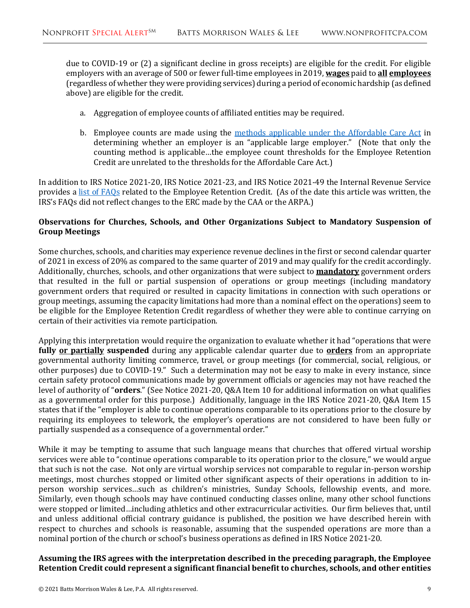due to COVID-19 or (2) a significant decline in gross receipts) are eligible for the credit. For eligible employers with an average of 500 or fewer full-time employees in 2019, **wages** paid to **all employees** (regardless of whether they were providing services) during a period of economic hardship (as defined above) are eligible for the credit.

- a. Aggregation of employee counts of affiliated entities may be required.
- b. Employee counts are made using the [methods applicable under the Affordable Care Act](https://www.irs.gov/affordable-care-act/employers/identifying-full-time-employees) in determining whether an employer is an "applicable large employer." (Note that only the counting method is applicable…the employee count thresholds for the Employee Retention Credit are unrelated to the thresholds for the Affordable Care Act.)

In addition to IRS Notice 2021-20, IRS Notice 2021-23, and IRS Notice 2021-49 the Internal Revenue Service provides a [list of FAQs](https://www.irs.gov/newsroom/faqs-employee-retention-credit-under-the-cares-act) related to the Employee Retention Credit. (As of the date this article was written, the IRS's FAQs did not reflect changes to the ERC made by the CAA or the ARPA.)

#### **Observations for Churches, Schools, and Other Organizations Subject to Mandatory Suspension of Group Meetings**

Some churches, schools, and charities may experience revenue declines in the first or second calendar quarter of 2021 in excess of 20% as compared to the same quarter of 2019 and may qualify for the credit accordingly. Additionally, churches, schools, and other organizations that were subject to **mandatory** government orders that resulted in the full or partial suspension of operations or group meetings (including mandatory government orders that required or resulted in capacity limitations in connection with such operations or group meetings, assuming the capacity limitations had more than a nominal effect on the operations) seem to be eligible for the Employee Retention Credit regardless of whether they were able to continue carrying on certain of their activities via remote participation.

Applying this interpretation would require the organization to evaluate whether it had "operations that were **fully or partially suspended** during any applicable calendar quarter due to **orders** from an appropriate governmental authority limiting commerce, travel, or group meetings (for commercial, social, religious, or other purposes) due to COVID-19." Such a determination may not be easy to make in every instance, since certain safety protocol communications made by government officials or agencies may not have reached the level of authority of "**orders**." (See Notice 2021-20, Q&A Item 10 for additional information on what qualifies as a governmental order for this purpose.) Additionally, language in the IRS Notice 2021-20, Q&A Item 15 states that if the "employer is able to continue operations comparable to its operations prior to the closure by requiring its employees to telework, the employer's operations are not considered to have been fully or partially suspended as a consequence of a governmental order."

While it may be tempting to assume that such language means that churches that offered virtual worship services were able to "continue operations comparable to its operation prior to the closure," we would argue that such is not the case. Not only are virtual worship services not comparable to regular in-person worship meetings, most churches stopped or limited other significant aspects of their operations in addition to inperson worship services…such as children's ministries, Sunday Schools, fellowship events, and more. Similarly, even though schools may have continued conducting classes online, many other school functions were stopped or limited…including athletics and other extracurricular activities. Our firm believes that, until and unless additional official contrary guidance is published, the position we have described herein with respect to churches and schools is reasonable, assuming that the suspended operations are more than a nominal portion of the church or school's business operations as defined in IRS Notice 2021-20.

#### **Assuming the IRS agrees with the interpretation described in the preceding paragraph, the Employee Retention Credit could represent a significant financial benefit to churches, schools, and other entities**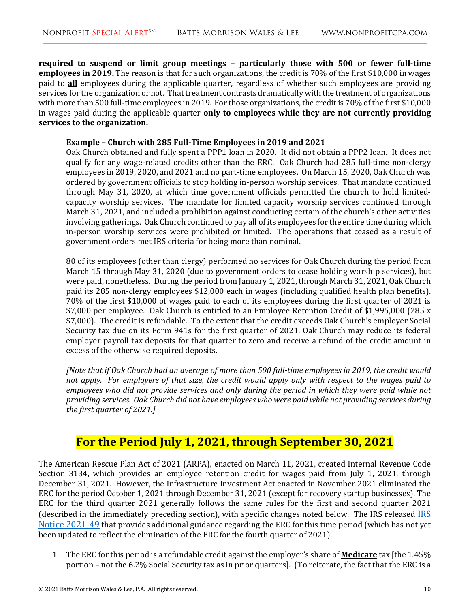**required to suspend or limit group meetings – particularly those with 500 or fewer full-time employees in 2019.** The reason is that for such organizations, the credit is 70% of the first \$10,000 in wages paid to **all** employees during the applicable quarter, regardless of whether such employees are providing services for the organization or not. That treatment contrasts dramatically with the treatment of organizations with more than 500 full-time employees in 2019. For those organizations, the credit is 70% of the first \$10,000 in wages paid during the applicable quarter **only to employees while they are not currently providing services to the organization.**

#### **Example – Church with 285 Full-Time Employees in 2019 and 2021**

Oak Church obtained and fully spent a PPP1 loan in 2020. It did not obtain a PPP2 loan. It does not qualify for any wage-related credits other than the ERC. Oak Church had 285 full-time non-clergy employees in 2019, 2020, and 2021 and no part-time employees. On March 15, 2020, Oak Church was ordered by government officials to stop holding in-person worship services. That mandate continued through May 31, 2020, at which time government officials permitted the church to hold limitedcapacity worship services. The mandate for limited capacity worship services continued through March 31, 2021, and included a prohibition against conducting certain of the church's other activities involving gatherings. Oak Church continued to pay all of its employees for the entire time during which in-person worship services were prohibited or limited. The operations that ceased as a result of government orders met IRS criteria for being more than nominal.

80 of its employees (other than clergy) performed no services for Oak Church during the period from March 15 through May 31, 2020 (due to government orders to cease holding worship services), but were paid, nonetheless. During the period from January 1, 2021, through March 31, 2021, Oak Church paid its 285 non-clergy employees \$12,000 each in wages (including qualified health plan benefits). 70% of the first \$10,000 of wages paid to each of its employees during the first quarter of 2021 is \$7,000 per employee. Oak Church is entitled to an Employee Retention Credit of \$1,995,000 (285 x \$7,000). The credit is refundable. To the extent that the credit exceeds Oak Church's employer Social Security tax due on its Form 941s for the first quarter of 2021, Oak Church may reduce its federal employer payroll tax deposits for that quarter to zero and receive a refund of the credit amount in excess of the otherwise required deposits.

*[Note that if Oak Church had an average of more than 500 full-time employees in 2019, the credit would not apply. For employers of that size, the credit would apply only with respect to the wages paid to employees who did not provide services and only during the period in which they were paid while not providing services. Oak Church did not have employees who were paid while not providing services during the first quarter of 2021.]*

# **For the Period July 1, 2021, through September 30, 2021**

The American Rescue Plan Act of 2021 (ARPA), enacted on March 11, 2021, created Internal Revenue Code Section 3134, which provides an employee retention credit for wages paid from July 1, 2021, through December 31, 2021. However, the Infrastructure Investment Act enacted in November 2021 eliminated the ERC for the period October 1, 2021 through December 31, 2021 (except for recovery startup businesses). The ERC for the third quarter 2021 generally follows the same rules for the first and second quarter 2021 (described in the immediately preceding section), with specific changes noted below. The [IRS](https://www.irs.gov/pub/irs-drop/n-21-49.pdf) released **IRS** [Notice 2021-49](https://www.irs.gov/pub/irs-drop/n-21-49.pdf) that provides additional guidance regarding the ERC for this time period (which has not yet been updated to reflect the elimination of the ERC for the fourth quarter of 2021).

1. The ERC for this period is a refundable credit against the employer's share of **Medicare** tax [the 1.45% portion – not the 6.2% Social Security tax as in prior quarters]. (To reiterate, the fact that the ERC is a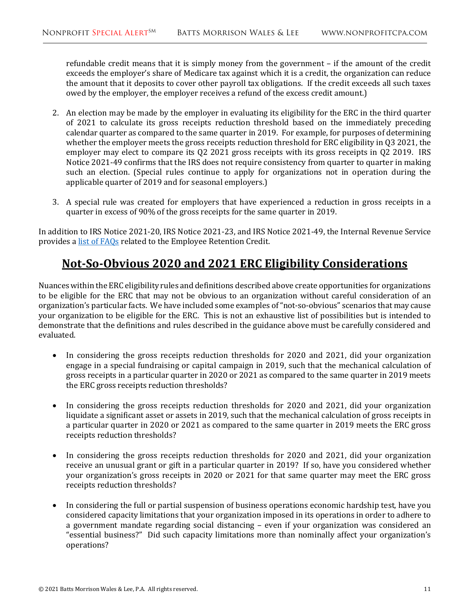refundable credit means that it is simply money from the government – if the amount of the credit exceeds the employer's share of Medicare tax against which it is a credit, the organization can reduce the amount that it deposits to cover other payroll tax obligations. If the credit exceeds all such taxes owed by the employer, the employer receives a refund of the excess credit amount.)

- 2. An election may be made by the employer in evaluating its eligibility for the ERC in the third quarter of 2021 to calculate its gross receipts reduction threshold based on the immediately preceding calendar quarter as compared to the same quarter in 2019. For example, for purposes of determining whether the employer meets the gross receipts reduction threshold for ERC eligibility in Q3 2021, the employer may elect to compare its Q2 2021 gross receipts with its gross receipts in Q2 2019. IRS Notice 2021-49 confirms that the IRS does not require consistency from quarter to quarter in making such an election. (Special rules continue to apply for organizations not in operation during the applicable quarter of 2019 and for seasonal employers.)
- 3. A special rule was created for employers that have experienced a reduction in gross receipts in a quarter in excess of 90% of the gross receipts for the same quarter in 2019.

In addition to IRS Notice 2021-20, IRS Notice 2021-23, and IRS Notice 2021-49, the Internal Revenue Service provides a [list of FAQs](https://www.irs.gov/newsroom/faqs-employee-retention-credit-under-the-cares-act) related to the Employee Retention Credit.

# **Not-So-Obvious 2020 and 2021 ERC Eligibility Considerations**

Nuances within the ERC eligibility rules and definitions described above create opportunities for organizations to be eligible for the ERC that may not be obvious to an organization without careful consideration of an organization's particular facts. We have included some examples of "not-so-obvious" scenarios that may cause your organization to be eligible for the ERC. This is not an exhaustive list of possibilities but is intended to demonstrate that the definitions and rules described in the guidance above must be carefully considered and evaluated.

- In considering the gross receipts reduction thresholds for 2020 and 2021, did your organization engage in a special fundraising or capital campaign in 2019, such that the mechanical calculation of gross receipts in a particular quarter in 2020 or 2021 as compared to the same quarter in 2019 meets the ERC gross receipts reduction thresholds?
- In considering the gross receipts reduction thresholds for 2020 and 2021, did your organization liquidate a significant asset or assets in 2019, such that the mechanical calculation of gross receipts in a particular quarter in 2020 or 2021 as compared to the same quarter in 2019 meets the ERC gross receipts reduction thresholds?
- In considering the gross receipts reduction thresholds for 2020 and 2021, did your organization receive an unusual grant or gift in a particular quarter in 2019? If so, have you considered whether your organization's gross receipts in 2020 or 2021 for that same quarter may meet the ERC gross receipts reduction thresholds?
- In considering the full or partial suspension of business operations economic hardship test, have you considered capacity limitations that your organization imposed in its operations in order to adhere to a government mandate regarding social distancing – even if your organization was considered an "essential business?" Did such capacity limitations more than nominally affect your organization's operations?